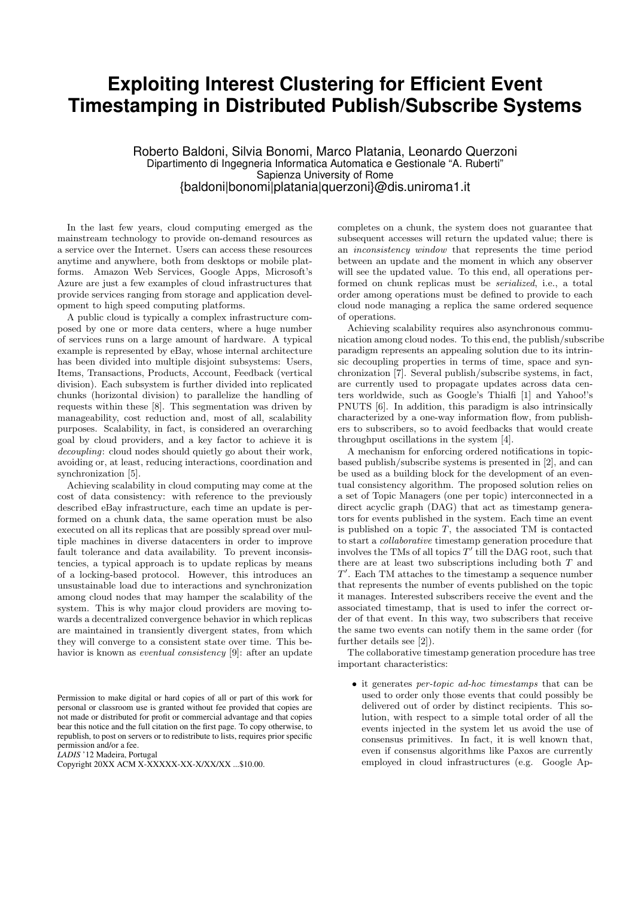## **Exploiting Interest Clustering for Efficient Event Timestamping in Distributed Publish/Subscribe Systems**

Roberto Baldoni, Silvia Bonomi, Marco Platania, Leonardo Querzoni Dipartimento di Ingegneria Informatica Automatica e Gestionale "A. Ruberti" Sapienza University of Rome {baldoni|bonomi|platania|querzoni}@dis.uniroma1.it

In the last few years, cloud computing emerged as the mainstream technology to provide on-demand resources as a service over the Internet. Users can access these resources anytime and anywhere, both from desktops or mobile platforms. Amazon Web Services, Google Apps, Microsoft's Azure are just a few examples of cloud infrastructures that provide services ranging from storage and application development to high speed computing platforms.

A public cloud is typically a complex infrastructure composed by one or more data centers, where a huge number of services runs on a large amount of hardware. A typical example is represented by eBay, whose internal architecture has been divided into multiple disjoint subsystems: Users, Items, Transactions, Products, Account, Feedback (vertical division). Each subsystem is further divided into replicated chunks (horizontal division) to parallelize the handling of requests within these [8]. This segmentation was driven by manageability, cost reduction and, most of all, scalability purposes. Scalability, in fact, is considered an overarching goal by cloud providers, and a key factor to achieve it is decoupling: cloud nodes should quietly go about their work, avoiding or, at least, reducing interactions, coordination and synchronization [5].

Achieving scalability in cloud computing may come at the cost of data consistency: with reference to the previously described eBay infrastructure, each time an update is performed on a chunk data, the same operation must be also executed on all its replicas that are possibly spread over multiple machines in diverse datacenters in order to improve fault tolerance and data availability. To prevent inconsistencies, a typical approach is to update replicas by means of a locking-based protocol. However, this introduces an unsustainable load due to interactions and synchronization among cloud nodes that may hamper the scalability of the system. This is why major cloud providers are moving towards a decentralized convergence behavior in which replicas are maintained in transiently divergent states, from which they will converge to a consistent state over time. This behavior is known as *eventual consistency* [9]: after an update

Permission to make digital or hard copies of all or part of this work for personal or classroom use is granted without fee provided that copies are not made or distributed for profit or commercial advantage and that copies bear this notice and the full citation on the first page. To copy otherwise, to republish, to post on servers or to redistribute to lists, requires prior specific permission and/or a fee.

*LADIS* '12 Madeira, Portugal

Copyright 20XX ACM X-XXXXX-XX-X/XX/XX ...\$10.00.

completes on a chunk, the system does not guarantee that subsequent accesses will return the updated value; there is an inconsistency window that represents the time period between an update and the moment in which any observer will see the updated value. To this end, all operations performed on chunk replicas must be serialized, i.e., a total order among operations must be defined to provide to each cloud node managing a replica the same ordered sequence of operations.

Achieving scalability requires also asynchronous communication among cloud nodes. To this end, the publish/subscribe paradigm represents an appealing solution due to its intrinsic decoupling properties in terms of time, space and synchronization [7]. Several publish/subscribe systems, in fact, are currently used to propagate updates across data centers worldwide, such as Google's Thialfi [1] and Yahoo!'s PNUTS [6]. In addition, this paradigm is also intrinsically characterized by a one-way information flow, from publishers to subscribers, so to avoid feedbacks that would create throughput oscillations in the system [4].

A mechanism for enforcing ordered notifications in topicbased publish/subscribe systems is presented in [2], and can be used as a building block for the development of an eventual consistency algorithm. The proposed solution relies on a set of Topic Managers (one per topic) interconnected in a direct acyclic graph (DAG) that act as timestamp generators for events published in the system. Each time an event is published on a topic  $T$ , the associated TM is contacted to start a collaborative timestamp generation procedure that involves the TMs of all topics  $T'$  till the DAG root, such that there are at least two subscriptions including both T and  $T'$ . Each TM attaches to the timestamp a sequence number that represents the number of events published on the topic it manages. Interested subscribers receive the event and the associated timestamp, that is used to infer the correct order of that event. In this way, two subscribers that receive the same two events can notify them in the same order (for further details see [2]).

The collaborative timestamp generation procedure has tree important characteristics:

• it generates per-topic ad-hoc timestamps that can be used to order only those events that could possibly be delivered out of order by distinct recipients. This solution, with respect to a simple total order of all the events injected in the system let us avoid the use of consensus primitives. In fact, it is well known that, even if consensus algorithms like Paxos are currently employed in cloud infrastructures (e.g. Google Ap-